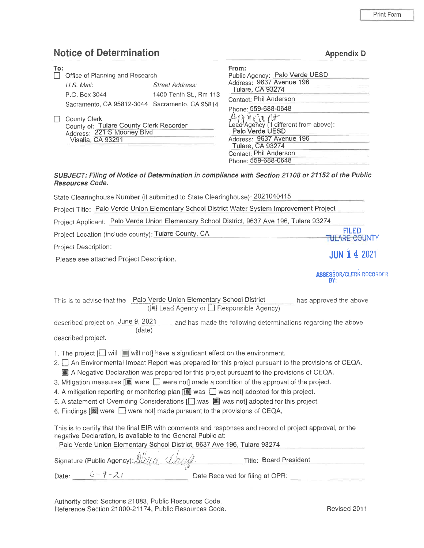Appendix D

# Notice of Determination

| To: | Office of Planning and Research                                                                            |                        | From:<br>Public Agency: Palo Verde UESD                                                                                                              |
|-----|------------------------------------------------------------------------------------------------------------|------------------------|------------------------------------------------------------------------------------------------------------------------------------------------------|
|     | $U.S.$ Mail:                                                                                               | <b>Street Address:</b> | Address: 9637 Avenue 196<br><b>Tulare, CA 93274</b>                                                                                                  |
|     | P.O. Box 3044                                                                                              | 1400 Tenth St., Rm 113 | Contact: Phil Anderson                                                                                                                               |
|     | Sacramento, CA 95812-3044 Sacramento, CA 95814                                                             |                        | Phone: 559-688-0648                                                                                                                                  |
|     | County Clerk<br>County of: Tulare County Clerk Recorder<br>Address: 221 S Mooney Blvd<br>Visalia, CA 93291 |                        | Applicant Theorem above):<br>Palo Verde UESD<br>Address: 9637 Avenue 196<br><b>Tulare, CA 93274</b><br>Contact: Phil Anderson<br>Phone: 559-688-0648 |

#### SUBJECT: Filing of Notice of Determination in compliance with Section <sup>21</sup> 108 or 21152 of the Public Resources Code.

| State Clearinghouse Number (if submitted to State Clearinghouse): 2021040415                                                                                                                                                                                                                 |                                       |
|----------------------------------------------------------------------------------------------------------------------------------------------------------------------------------------------------------------------------------------------------------------------------------------------|---------------------------------------|
| Project Title: Palo Verde Union Elementary School District Water System Improvement Project                                                                                                                                                                                                  |                                       |
| Project Applicant: Palo Verde Union Elementary School District, 9637 Ave 196, Tulare 93274                                                                                                                                                                                                   |                                       |
| Project Location (include county): Tulare County, CA                                                                                                                                                                                                                                         | <b>FILED</b><br>TULARE COUNTY         |
| Project Description:                                                                                                                                                                                                                                                                         | <b>JUN 1 4 2021</b>                   |
| Please see attached Project Description.                                                                                                                                                                                                                                                     |                                       |
|                                                                                                                                                                                                                                                                                              | <b>ASSESSOR/CLERK RECORDER</b><br>BY: |
| This is to advise that the Palo Verde Union Elementary School District<br>(■ Lead Agency or Besponsible Agency)                                                                                                                                                                              | has approved the above                |
| described project on June 9, 2021<br>and has made the following determinations regarding the above<br>(date)                                                                                                                                                                                 |                                       |
| described project.                                                                                                                                                                                                                                                                           |                                       |
| 1. The project $\Box$ will $\Box$ will not] have a significant effect on the environment.<br>2. An Environmental Impact Report was prepared for this project pursuant to the provisions of CEQA.<br>A Negative Declaration was prepared for this project pursuant to the provisions of CEQA. |                                       |

- 3. Mitigation measures  $[\blacksquare]$  were  $\Box$  were not] made a condition of the approval of the project.
- 4. A mitigation reporting or monitoring plan  $[\mathbb{R}]$  was  $\Box$  was not] adopted for this project.
- 5. A statement of Overriding Considerations [ ] was **M** was not] adopted for this project.
- 6. Findings  $[\blacksquare]$  were  $\Box$  were not] made pursuant to the provisions of CEQA.

This is to certify that the final EIR with comments and responses and record of project approval, or the negative Declaration, is available to the General Public at:

Palo Verde Union Elementary School District, 9637 Ave 196, Tulare 93274

|       | Signature (Public Agency); 1200 12014 | Title: Board President           |  |
|-------|---------------------------------------|----------------------------------|--|
| Date: | $6 = 7 - 21$                          | Date Received for filing at OPR: |  |

Authority cited: Sections 21083, Public Resources Code. Reference Section 21000—21174, Public Resources Code.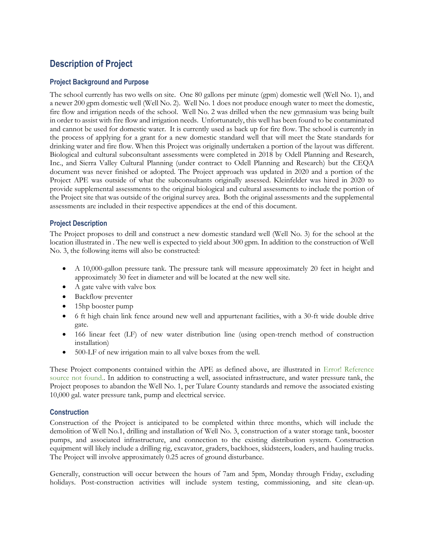# **Description of Project** Description of Project

# **Project Background and Purpose** Project Background and Purpose

The school currently has two wells on site. One 80 gallons per minute (gpm) domestic well (Well No. 1), and The school currently has two wells on site. One 80 gallons per minute (gpm) domestic well (\X/ell No. l), and a newer 200 gpm domestic well (Well No. 2). Well No. 1 does not produce enough water to meet the domestic, fire flow and irrigation needs of the school. Well No. 2 was drilled when the new gymnasium was being built fire flow and irrigation needs of the school. Well No. 2 was drilled when the new gymnasium was being built in order to assist with fire flow and irrigation needs. Unfortunately, this well has been found to be contaminated and cannot be used for domestic water. It is currently used as back up for fire flow. The school is currently in the process of applying for a grant for a new domestic standard well that will meet the State standards for the process of applying for <sup>a</sup> grant for <sup>a</sup> new domestic standard well that will meet the State standards for drinking water and fire flow. When this Project was originally undertaken a portion of the layout was different. Biological and cultural subconsultant assessments were completed in 2018 by Odell Planning and Research, Biological and cultural subconsultant assessments were completed in 2018 by Odell Planning and Research, Inc., and Sierra Valley Cultural Planning (under contract to Odell Planning and Research) but the CEQA Inc., and Sierra Valley Cultural Planning (under contract to Odell Planning and Research) but the CEQA document was never finished or adopted. The Project approach was updated in 2020 and a portion of the document was never finished or adopted. The Project approach was updated in 2020 and <sup>a</sup> portion of the Project APE was outside of what the subconsultants originally assessed. Kleinfelder was hired in 2020 to Project APE was outside of what the subconsultants originally assessed. Kleinfelder was hired in 2020 to provide supplemental assessments to the original biological and cultural assessments to include the portion of provide supplemental assessments to the original biological and cultural assessments to include the portion of the Project site that was outside of the original survey area. Both the original assessments and the supplemental assessments are included in their respective appendices at the end of this document. assessments are included in their respective appendices at the end of this document.

## **Project Description** Project Description

The Project proposes to drill and construct a new domestic standard well (Well No. 3) for the school at the The Project proposes to drill and construct <sup>a</sup> new domestic standard well (Well No. 3) for the school at the location illustrated in . The new well is expected to yield about 300 gpm. In addition to the construction of Well No. 3, the following items will also be constructed: No. 3, the following items will also be constructed:

- A 10,000-gallon pressure tank. The pressure tank will measure approximately 20 feet in height and approximately 30 feet in diameter and will be located at the new well site. approximately 30 feet in diameter and will be located at the new well site.
- A gate valve with valve box <sup>0</sup> A gate valve with valve box
- Backflow preventer <sup>0</sup> Backflow preventer
- 15hp booster pump <sup>0</sup> 15hp booster pump
- 6 ft high chain link fence around new well and appurtenant facilities, with a 30-ft wide double drive <sup>0</sup> <sup>6</sup> ft high chain link fence around new well and appurtenant facilities, with <sup>a</sup> 30—ft wide double drive gate. gate.
- 166 linear feet (LF) of new water distribution line (using open-trench method of construction <sup>0</sup> 166 linear feet (LP) of new water distribution line (using open—trench method of construction installation) installation)
- 500-LF of new irrigation main to all valve boxes from the well. <sup>0</sup> 500—LF of new irrigation main to all valve boxes from the well.

These Project components contained within the APE as defined above, are illustrated in Error! Reference source not found.. In addition to constructing a well, associated infrastructure, and water pressure tank, the source not found. In addition to constructing <sup>a</sup> well, associated infrastructure, and water pressure tank, the Project proposes to abandon the Well No. 1, per Tulare County standards and remove the associated existing Project proposes to abandon the Well No. l, per Tulare County standards and remove the associated existing 10,000 gal. water pressure tank, pump and electrical service. 10,000 gal. water pressure tank, pump and electrical service.

### **Construction** Construction

Construction of the Project is anticipated to be completed within three months, which will include the Construction of the Project is anticipated to be completed within three months, which will include the demolition of Well No.1, drilling and installation of Well No. 3, construction of a water storage tank, booster demolition of Well No.1, drilling and installation of Well No. 3, construction of <sup>a</sup> water storage tank, booster pumps, and associated infrastructure, and connection to the existing distribution system. Construction pumps, and associated infrastructure, and connection to the existing distribution system. Construction equipment will likely include a drilling rig, excavator, graders, backhoes, skidsteers, loaders, and hauling trucks. The Project will involve approximately 0.25 acres of ground disturbance. The Project will involve approximately 0.25 acres of ground disturbance.

Generally, construction will occur between the hours of 7am and 5pm, Monday through Friday, excluding Generally, construction will occur between the hours of 7am and 5pm, Monday through Friday, excluding holidays. Post-construction activities will include system testing, commissioning, and site clean-up.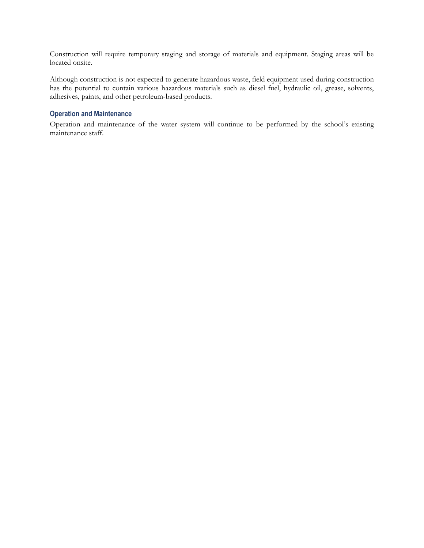Construction will require temporary staging and storage of materials and equipment. Staging areas will be Construction will require temporary staging and storage of materials and equipment. Staging areas will be located onsite. located onsite.

Although construction is not expected to generate hazardous waste, field equipment used during construction Although construction is not expected to generate hazardous waste, field equipment used during construction has the potential to contain various hazardous materials such as diesel fuel, hydraulic oil, grease, solvents, has the potential to contain various hazardous materials such as diesel fuel, hydraulic oil, grease, solvents, adhesives, paints, and other petroleum-based products. adhesives, paints, and other petroleum—based products.

## **Operation and Maintenance** Operation and Maintenance

Operation and maintenance of the water system will continue to be performed by the school's existing Operation and maintenance of the water system will continue to be performed by the school's existing maintenance staff. maintenance staff.